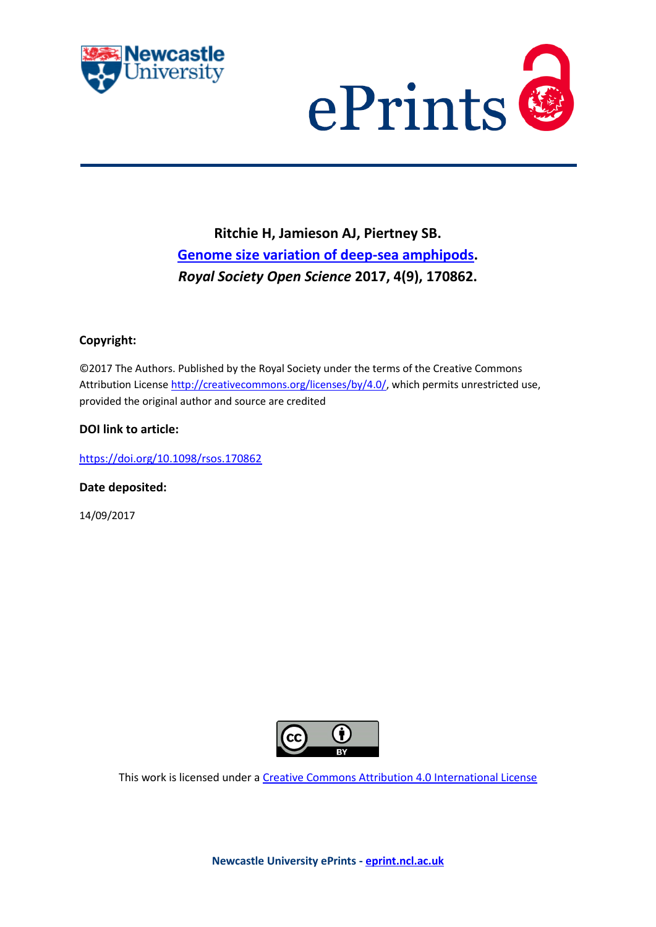



# **Ritchie H, Jamieson AJ, Piertney SB. [Genome size variation of deep-sea amphipods.](https://myimpact.ncl.ac.uk/ViewPublication.aspx?id=240614)**  *Royal Society Open Science* **2017, 4(9), 170862.**

### **Copyright:**

©2017 The Authors. Published by the Royal Society under the terms of the Creative Commons Attribution License [http://creativecommons.org/licenses/by/4.0/,](http://creativecommons.org/licenses/by/4.0/) which permits unrestricted use, provided the original author and source are credited

### **DOI link to article:**

<https://doi.org/10.1098/rsos.170862>

**Date deposited:** 

14/09/2017



This work is licensed under [a Creative Commons Attribution 4.0 International License](http://creativecommons.org/licenses/by/4.0/)

**Newcastle University ePrints - [eprint.ncl.ac.uk](http://eprint.ncl.ac.uk/)**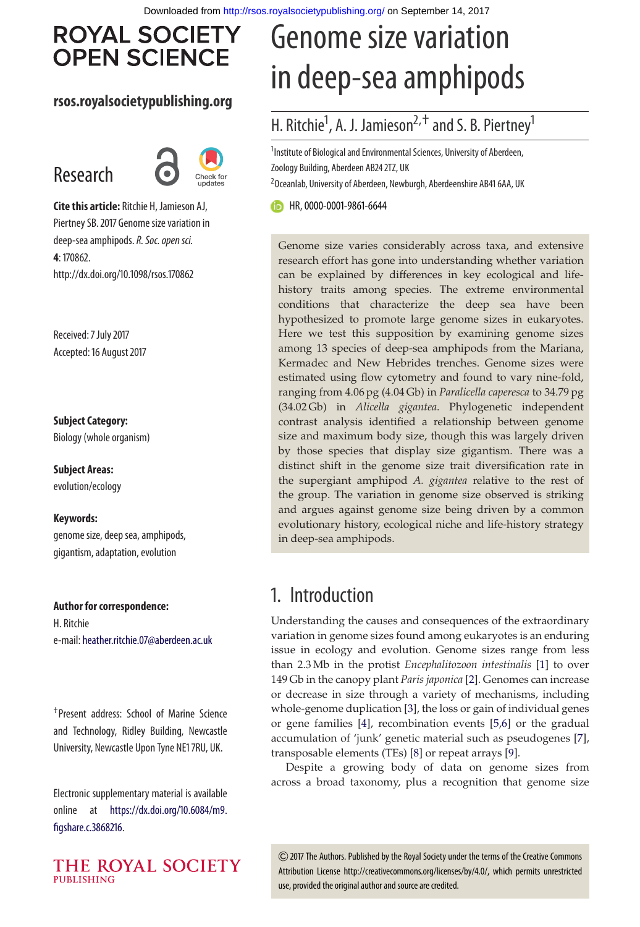# **ROYAL SOCIETY OPEN SCIENCE**

### **rsos.royalsocietypublishing.org**

# Research



**Cite this article:** Ritchie H, Jamieson AJ, Piertney SB. 2017 Genome size variation in deep-sea amphipods.*R. Soc. open sci.* **4**: 170862. http://dx.doi.org/10.1098/rsos.170862

Received: 7 July 2017 Accepted: 16 August 2017

**Subject Category:** Biology (whole organism)

**Subject Areas:** evolution/ecology

#### **Keywords:**

genome size, deep sea, amphipods, gigantism, adaptation, evolution

**Author for correspondence:** H. Ritchie e-mail: [heather.ritchie.07@aberdeen.ac.uk](mailto:heather.ritchie.07@aberdeen.ac.uk)

†Present address: School of Marine Science and Technology, Ridley Building, Newcastle University, Newcastle Upon Tyne NE1 7RU, UK.

Electronic supplementary material is available online at [https://dx.doi.org/10.6084/m9.](https://dx.doi.org/10.6084/m9.figshare.c.3868216) [figshare.c.3868216.](https://dx.doi.org/10.6084/m9.figshare.c.3868216)



# Genome size variation in deep-sea amphipods

## H. Ritchie<sup>1</sup>, A. J. Jamieson<sup>2, †</sup> and S. B. Piertney<sup>1</sup>

<sup>1</sup>Institute of Biological and Environmental Sciences, University of Aberdeen, Zoology Building, Aberdeen AB24 2TZ, UK  $^{2}$ Oceanlab, University of Aberdeen, Newburgh, Aberdeenshire AB41 6AA, UK

HR,[0000-0001-9861-6644](http://orcid.org/0000-0001-9861-6644)

Genome size varies considerably across taxa, and extensive research effort has gone into understanding whether variation can be explained by differences in key ecological and lifehistory traits among species. The extreme environmental conditions that characterize the deep sea have been hypothesized to promote large genome sizes in eukaryotes. Here we test this supposition by examining genome sizes among 13 species of deep-sea amphipods from the Mariana, Kermadec and New Hebrides trenches. Genome sizes were estimated using flow cytometry and found to vary nine-fold, ranging from 4.06 pg (4.04 Gb) in *Paralicella caperesca* to 34.79 pg (34.02 Gb) in *Alicella gigantea*. Phylogenetic independent contrast analysis identified a relationship between genome size and maximum body size, though this was largely driven by those species that display size gigantism. There was a distinct shift in the genome size trait diversification rate in the supergiant amphipod *A. gigantea* relative to the rest of the group. The variation in genome size observed is striking and argues against genome size being driven by a common evolutionary history, ecological niche and life-history strategy in deep-sea amphipods.

## 1. Introduction

Understanding the causes and consequences of the extraordinary variation in genome sizes found among eukaryotes is an enduring issue in ecology and evolution. Genome sizes range from less than 2.3 Mb in the protist *Encephalitozoon intestinalis* [\[1\]](#page-8-0) to over 149 Gb in the canopy plant *Paris japonica* [\[2\]](#page-8-1). Genomes can increase or decrease in size through a variety of mechanisms, including whole-genome duplication [\[3\]](#page-8-2), the loss or gain of individual genes or gene families [\[4\]](#page-8-3), recombination events [\[5](#page-8-4)[,6\]](#page-8-5) or the gradual accumulation of 'junk' genetic material such as pseudogenes [\[7\]](#page-8-6), transposable elements (TEs) [\[8\]](#page-8-7) or repeat arrays [\[9\]](#page-8-8).

Despite a growing body of data on genome sizes from across a broad taxonomy, plus a recognition that genome size

2017 The Authors. Published by the Royal Society under the terms of the Creative Commons Attribution License http://creativecommons.org/licenses/by/4.0/, which permits unrestricted use, provided the original author and source are credited.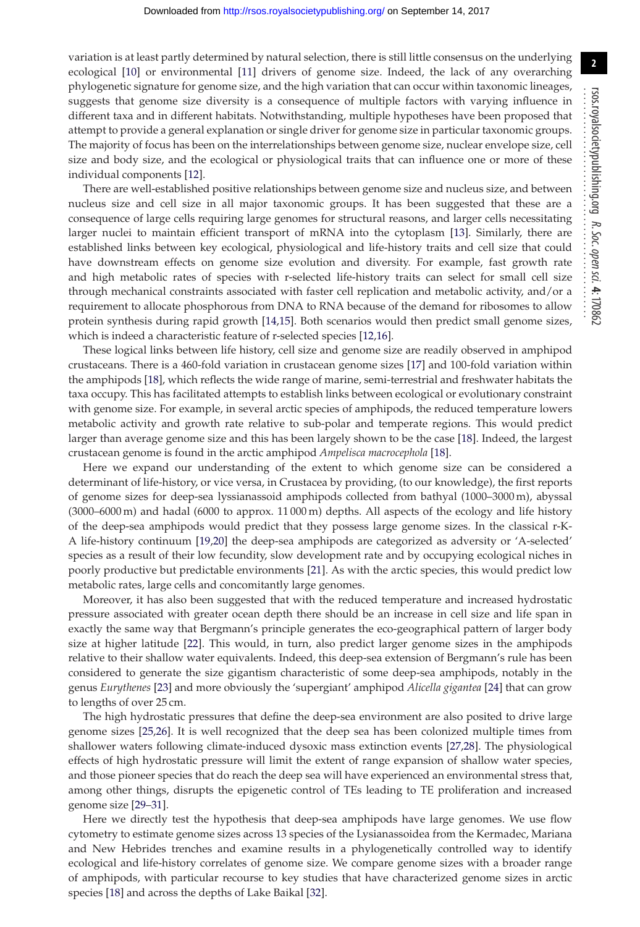**2**

variation is at least partly determined by natural selection, there is still little consensus on the underlying ecological [\[10\]](#page-8-9) or environmental [\[11\]](#page-8-10) drivers of genome size. Indeed, the lack of any overarching phylogenetic signature for genome size, and the high variation that can occur within taxonomic lineages, suggests that genome size diversity is a consequence of multiple factors with varying influence in different taxa and in different habitats. Notwithstanding, multiple hypotheses have been proposed that attempt to provide a general explanation or single driver for genome size in particular taxonomic groups. The majority of focus has been on the interrelationships between genome size, nuclear envelope size, cell size and body size, and the ecological or physiological traits that can influence one or more of these individual components [\[12\]](#page-8-11).

There are well-established positive relationships between genome size and nucleus size, and between nucleus size and cell size in all major taxonomic groups. It has been suggested that these are a consequence of large cells requiring large genomes for structural reasons, and larger cells necessitating larger nuclei to maintain efficient transport of mRNA into the cytoplasm [\[13\]](#page-9-0). Similarly, there are established links between key ecological, physiological and life-history traits and cell size that could have downstream effects on genome size evolution and diversity. For example, fast growth rate and high metabolic rates of species with r-selected life-history traits can select for small cell size through mechanical constraints associated with faster cell replication and metabolic activity, and/or a requirement to allocate phosphorous from DNA to RNA because of the demand for ribosomes to allow protein synthesis during rapid growth [\[14,](#page-9-1)[15\]](#page-9-2). Both scenarios would then predict small genome sizes, which is indeed a characteristic feature of r-selected species [\[12](#page-8-11)[,16\]](#page-9-3).

These logical links between life history, cell size and genome size are readily observed in amphipod crustaceans. There is a 460-fold variation in crustacean genome sizes [\[17\]](#page-9-4) and 100-fold variation within the amphipods [\[18\]](#page-9-5), which reflects the wide range of marine, semi-terrestrial and freshwater habitats the taxa occupy. This has facilitated attempts to establish links between ecological or evolutionary constraint with genome size. For example, in several arctic species of amphipods, the reduced temperature lowers metabolic activity and growth rate relative to sub-polar and temperate regions. This would predict larger than average genome size and this has been largely shown to be the case [\[18\]](#page-9-5). Indeed, the largest crustacean genome is found in the arctic amphipod *Ampelisca macrocephola* [\[18\]](#page-9-5).

Here we expand our understanding of the extent to which genome size can be considered a determinant of life-history, or vice versa, in Crustacea by providing, (to our knowledge), the first reports of genome sizes for deep-sea lyssianassoid amphipods collected from bathyal (1000–3000 m), abyssal (3000–6000 m) and hadal (6000 to approx. 11 000 m) depths. All aspects of the ecology and life history of the deep-sea amphipods would predict that they possess large genome sizes. In the classical r-K-A life-history continuum [\[19,](#page-9-6)[20\]](#page-9-7) the deep-sea amphipods are categorized as adversity or 'A-selected' species as a result of their low fecundity, slow development rate and by occupying ecological niches in poorly productive but predictable environments [\[21\]](#page-9-8). As with the arctic species, this would predict low metabolic rates, large cells and concomitantly large genomes.

Moreover, it has also been suggested that with the reduced temperature and increased hydrostatic pressure associated with greater ocean depth there should be an increase in cell size and life span in exactly the same way that Bergmann's principle generates the eco-geographical pattern of larger body size at higher latitude [\[22\]](#page-9-9). This would, in turn, also predict larger genome sizes in the amphipods relative to their shallow water equivalents. Indeed, this deep-sea extension of Bergmann's rule has been considered to generate the size gigantism characteristic of some deep-sea amphipods, notably in the genus *Eurythenes* [\[23\]](#page-9-10) and more obviously the 'supergiant' amphipod *Alicella gigantea* [\[24\]](#page-9-11) that can grow to lengths of over 25 cm.

The high hydrostatic pressures that define the deep-sea environment are also posited to drive large genome sizes [\[25](#page-9-12)[,26\]](#page-9-13). It is well recognized that the deep sea has been colonized multiple times from shallower waters following climate-induced dysoxic mass extinction events [\[27](#page-9-14)[,28\]](#page-9-15). The physiological effects of high hydrostatic pressure will limit the extent of range expansion of shallow water species, and those pioneer species that do reach the deep sea will have experienced an environmental stress that, among other things, disrupts the epigenetic control of TEs leading to TE proliferation and increased genome size [\[29–](#page-9-16)[31\]](#page-9-17).

Here we directly test the hypothesis that deep-sea amphipods have large genomes. We use flow cytometry to estimate genome sizes across 13 species of the Lysianassoidea from the Kermadec, Mariana and New Hebrides trenches and examine results in a phylogenetically controlled way to identify ecological and life-history correlates of genome size. We compare genome sizes with a broader range of amphipods, with particular recourse to key studies that have characterized genome sizes in arctic species [\[18\]](#page-9-5) and across the depths of Lake Baikal [\[32\]](#page-9-18).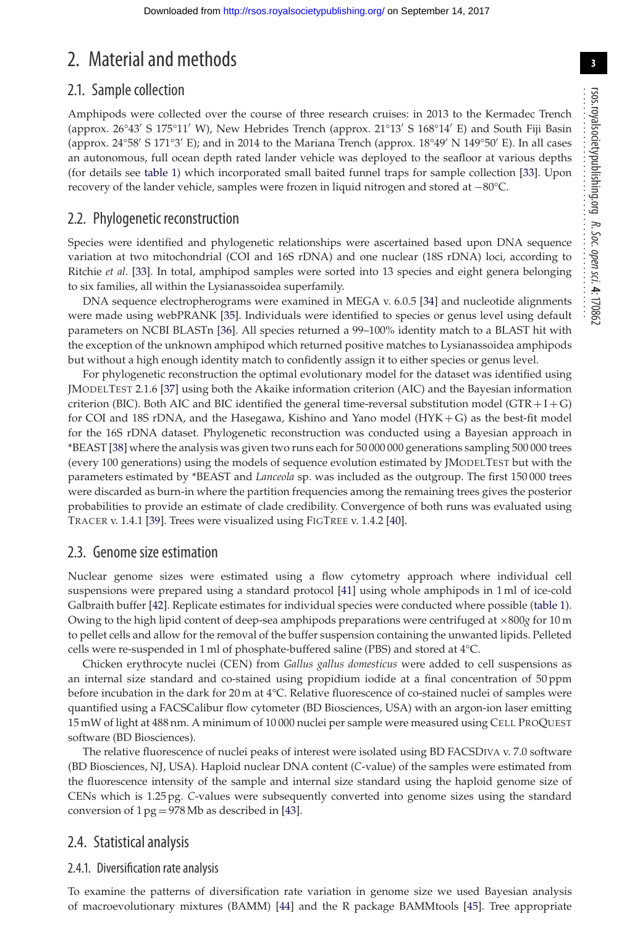# 2. Material and methods

### 2.1. Sample collection

Amphipods were collected over the course of three research cruises: in 2013 to the Kermadec Trench (approx. 26°43' S 175°11' W), New Hebrides Trench (approx. 21°13' S 168°14' E) and South Fiji Basin (approx. 24°58′ S 171°3′ E); and in 2014 to the Mariana Trench (approx. 18°49′ N 149°50′ E). In all cases an autonomous, full ocean depth rated lander vehicle was deployed to the seafloor at various depths (for details see [table 1\)](#page-4-0) which incorporated small baited funnel traps for sample collection [\[33\]](#page-9-19). Upon recovery of the lander vehicle, samples were frozen in liquid nitrogen and stored at −80°C.

### 2.2. Phylogenetic reconstruction

Species were identified and phylogenetic relationships were ascertained based upon DNA sequence variation at two mitochondrial (COI and 16S rDNA) and one nuclear (18S rDNA) loci, according to Ritchie *et al*. [\[33\]](#page-9-19). In total, amphipod samples were sorted into 13 species and eight genera belonging to six families, all within the Lysianassoidea superfamily.

DNA sequence electropherograms were examined in MEGA v. 6.0.5 [\[34\]](#page-9-20) and nucleotide alignments were made using webPRANK [\[35\]](#page-9-21). Individuals were identified to species or genus level using default parameters on NCBI BLASTn [\[36\]](#page-9-22). All species returned a 99–100% identity match to a BLAST hit with the exception of the unknown amphipod which returned positive matches to Lysianassoidea amphipods but without a high enough identity match to confidently assign it to either species or genus level.

For phylogenetic reconstruction the optimal evolutionary model for the dataset was identified using JMODELTEST 2.1.6 [\[37\]](#page-9-23) using both the Akaike information criterion (AIC) and the Bayesian information criterion (BIC). Both AIC and BIC identified the general time-reversal substitution model ( $GTR + I + G$ ) for COI and 18S rDNA, and the Hasegawa, Kishino and Yano model (HYK + G) as the best-fit model for the 16S rDNA dataset. Phylogenetic reconstruction was conducted using a Bayesian approach in \*BEAST [\[38\]](#page-9-24) where the analysis was given two runs each for 50 000 000 generations sampling 500 000 trees (every 100 generations) using the models of sequence evolution estimated by JMODELTEST but with the parameters estimated by \*BEAST and *Lanceola* sp. was included as the outgroup. The first 150 000 trees were discarded as burn-in where the partition frequencies among the remaining trees gives the posterior probabilities to provide an estimate of clade credibility. Convergence of both runs was evaluated using TRACER v. 1.4.1 [\[39\]](#page-9-25). Trees were visualized using FIGTREE v. 1.4.2 [\[40\]](#page-9-26).

### 2.3. Genome size estimation

Nuclear genome sizes were estimated using a flow cytometry approach where individual cell suspensions were prepared using a standard protocol [\[41\]](#page-9-27) using whole amphipods in 1 ml of ice-cold Galbraith buffer [\[42\]](#page-9-28). Replicate estimates for individual species were conducted where possible [\(table 1\)](#page-4-0). Owing to the high lipid content of deep-sea amphipods preparations were centrifuged at ×800*g* for 10 m to pellet cells and allow for the removal of the buffer suspension containing the unwanted lipids. Pelleted cells were re-suspended in 1 ml of phosphate-buffered saline (PBS) and stored at 4°C.

Chicken erythrocyte nuclei (CEN) from *Gallus gallus domesticus* were added to cell suspensions as an internal size standard and co-stained using propidium iodide at a final concentration of 50 ppm before incubation in the dark for 20 m at 4°C. Relative fluorescence of co-stained nuclei of samples were quantified using a FACSCalibur flow cytometer (BD Biosciences, USA) with an argon-ion laser emitting 15 mW of light at 488 nm. A minimum of 10 000 nuclei per sample were measured using CELL PROQUEST software (BD Biosciences).

The relative fluorescence of nuclei peaks of interest were isolated using BD FACSDIVA v. 7.0 software (BD Biosciences, NJ, USA). Haploid nuclear DNA content (*C*-value) of the samples were estimated from the fluorescence intensity of the sample and internal size standard using the haploid genome size of CENs which is 1.25 pg. *C*-values were subsequently converted into genome sizes using the standard conversion of  $1 \text{ pg} = 978 \text{ Mb}$  as described in [\[43\]](#page-9-29).

### 2.4. Statistical analysis

#### 2.4.1. Diversification rate analysis

To examine the patterns of diversification rate variation in genome size we used Bayesian analysis of macroevolutionary mixtures (BAMM) [\[44\]](#page-9-30) and the R package BAMMtools [\[45\]](#page-9-31). Tree appropriate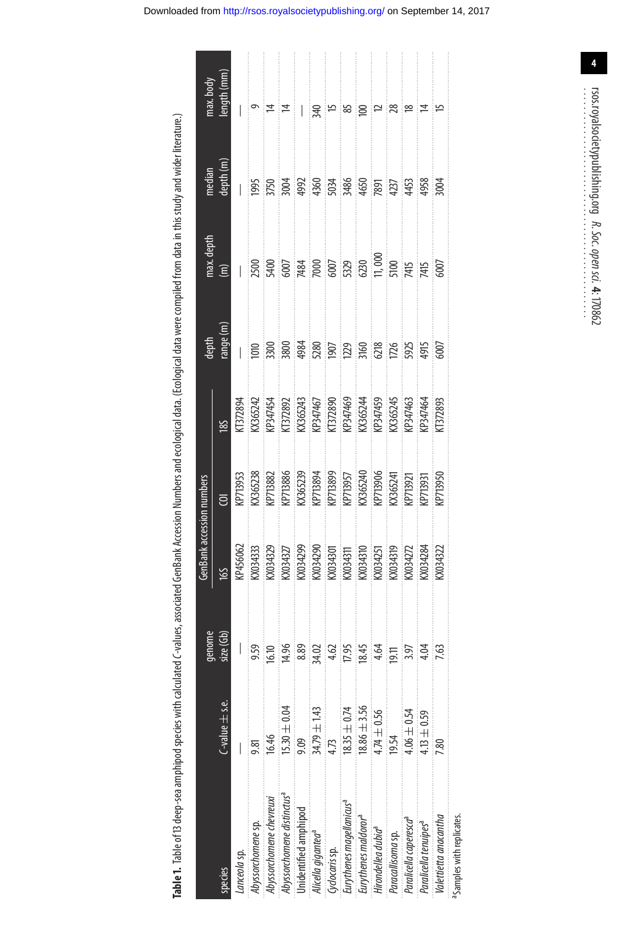Table 1. Table of 13 deep-sea amphipod species with calculated C-values, associated GenBank Accession Numbers and ecological data. (Ecological data were compiled from data in this study and wider literature.)

<span id="page-4-0"></span>

|                                        |                       | genome     | GenBank accession numbers                                                                                                                                                                                                                                                                                                                                |                                                                                                                                                                                                                                                                                                                                                                 |                                                                                                                                                                                                  | depth                                                                                                                                                                                                                                                                      | nax. depth           | median                                                          | max.body            |
|----------------------------------------|-----------------------|------------|----------------------------------------------------------------------------------------------------------------------------------------------------------------------------------------------------------------------------------------------------------------------------------------------------------------------------------------------------------|-----------------------------------------------------------------------------------------------------------------------------------------------------------------------------------------------------------------------------------------------------------------------------------------------------------------------------------------------------------------|--------------------------------------------------------------------------------------------------------------------------------------------------------------------------------------------------|----------------------------------------------------------------------------------------------------------------------------------------------------------------------------------------------------------------------------------------------------------------------------|----------------------|-----------------------------------------------------------------|---------------------|
| species                                | $C$ -value $\pm$ s.e. | size (Gb)  | 165                                                                                                                                                                                                                                                                                                                                                      | ē                                                                                                                                                                                                                                                                                                                                                               | 185                                                                                                                                                                                              | range (m)                                                                                                                                                                                                                                                                  | $\widehat{\epsilon}$ | depth <sub>(m)</sub>                                            | length (mm)         |
| Lanceola sp.                           |                       |            |                                                                                                                                                                                                                                                                                                                                                          |                                                                                                                                                                                                                                                                                                                                                                 |                                                                                                                                                                                                  |                                                                                                                                                                                                                                                                            |                      |                                                                 |                     |
| Abyssorchomene sp.                     |                       |            |                                                                                                                                                                                                                                                                                                                                                          |                                                                                                                                                                                                                                                                                                                                                                 |                                                                                                                                                                                                  |                                                                                                                                                                                                                                                                            |                      |                                                                 |                     |
| Abyssorchomene chevreuxi               | 16.46                 | 16.10      |                                                                                                                                                                                                                                                                                                                                                          |                                                                                                                                                                                                                                                                                                                                                                 |                                                                                                                                                                                                  |                                                                                                                                                                                                                                                                            |                      |                                                                 | ∣≠                  |
| Abyssorchomene distinctus <sup>a</sup> | $5.30 \pm 0.04$       | 14.96      |                                                                                                                                                                                                                                                                                                                                                          |                                                                                                                                                                                                                                                                                                                                                                 |                                                                                                                                                                                                  |                                                                                                                                                                                                                                                                            |                      |                                                                 | ¦≠                  |
| Unidentified amphipod                  | 9.09                  | 8.89       |                                                                                                                                                                                                                                                                                                                                                          |                                                                                                                                                                                                                                                                                                                                                                 |                                                                                                                                                                                                  |                                                                                                                                                                                                                                                                            |                      |                                                                 | Ħ                   |
| Alicella gigantea <sup>a</sup>         | $34.79 \pm 1.43$      | 84.02      | $\begin{array}{l} \text{KPA56062} \\ \text{K034333} \\ \text{K034329} \\ \text{K034329} \\ \text{K034329} \\ \text{K03429} \\ \text{K03430} \\ \text{K03430} \\ \text{K03430} \\ \text{K03431} \\ \text{K03431} \\ \text{K03431} \\ \text{K03421} \\ \text{K03422} \\ \text{K03422} \\ \text{K03422} \\ \text{K03422} \\ \text{K03422} \\ \text{K03422}$ | $\begin{array}{l} \textbf{(FP1955)} \\ \textbf{K365238} \\ \textbf{K365239} \\ \textbf{K365239} \\ \textbf{K365239} \\ \textbf{K365239} \\ \textbf{K365240} \\ \textbf{K365240} \\ \textbf{K365240} \\ \textbf{K365241} \\ \textbf{K365241} \\ \textbf{K365241} \\ \textbf{K365241} \\ \textbf{K365241} \\ \textbf{K365241} \\ \textbf{K365241} \\ \textbf{K36$ | KI372894<br>KOS65243<br>KOS65243 (KOS65243 KOS65243 KOS65243 KOS65243 KOS65243 KOS65243 KOS65244<br>KOS65244 KOS65244 KOS65245 KOS65245 KOS6524 KOS6524<br>KOS6524 KOS6524 KOS6524 KOS652 KOS652 | $\begin{array}{l} 1000\\ 1000\\ 1000\\ 1000\\ 1000\\ 1000\\ 1000\\ 1000\\ 1000\\ 1000\\ 1000\\ 1000\\ 1000\\ 1000\\ 1000\\ 1000\\ 1000\\ 1000\\ 1000\\ 1000\\ 1000\\ 1000\\ 1000\\ 1000\\ 1000\\ 1000\\ 1000\\ 1000\\ 1000\\ 1000\\ 1000\\ 1000\\ 1000\\ 1000\\ 1000\\ 10$ |                      | 1995<br>5750 3760 3760 3860 5875<br>588 388 388 388 459 459 388 |                     |
| Gyclocaris sp.                         | $\frac{1}{1}$         | 4.62       |                                                                                                                                                                                                                                                                                                                                                          |                                                                                                                                                                                                                                                                                                                                                                 |                                                                                                                                                                                                  |                                                                                                                                                                                                                                                                            |                      |                                                                 |                     |
| Eurythenes magellanicus <sup>a</sup>   | $8.35 \pm 0.74$       | 17.95      |                                                                                                                                                                                                                                                                                                                                                          |                                                                                                                                                                                                                                                                                                                                                                 |                                                                                                                                                                                                  |                                                                                                                                                                                                                                                                            |                      |                                                                 |                     |
| Eurythenes maldoror <sup>a</sup>       | $8.86 \pm 3.56$       | 18.45      |                                                                                                                                                                                                                                                                                                                                                          |                                                                                                                                                                                                                                                                                                                                                                 |                                                                                                                                                                                                  |                                                                                                                                                                                                                                                                            |                      |                                                                 |                     |
| Hirondellea dubia <sup>a</sup>         | $.74 \pm 0.56$        | 4.64       |                                                                                                                                                                                                                                                                                                                                                          |                                                                                                                                                                                                                                                                                                                                                                 |                                                                                                                                                                                                  |                                                                                                                                                                                                                                                                            |                      |                                                                 | $\approx$ $\approx$ |
| Paracallisoma sp.                      | 19.54                 | <b>116</b> |                                                                                                                                                                                                                                                                                                                                                          |                                                                                                                                                                                                                                                                                                                                                                 |                                                                                                                                                                                                  |                                                                                                                                                                                                                                                                            |                      |                                                                 |                     |
| Paralicella caperesca <sup>ª</sup>     | $-0.54$               | 3.97       |                                                                                                                                                                                                                                                                                                                                                          |                                                                                                                                                                                                                                                                                                                                                                 |                                                                                                                                                                                                  |                                                                                                                                                                                                                                                                            |                      |                                                                 | ∶ల                  |
| Paralicella tenuipes <sup>a</sup>      | $-13 \pm 0.59$        |            |                                                                                                                                                                                                                                                                                                                                                          |                                                                                                                                                                                                                                                                                                                                                                 |                                                                                                                                                                                                  |                                                                                                                                                                                                                                                                            |                      |                                                                 | 4                   |
| Valettietta anacantha                  |                       |            |                                                                                                                                                                                                                                                                                                                                                          |                                                                                                                                                                                                                                                                                                                                                                 |                                                                                                                                                                                                  |                                                                                                                                                                                                                                                                            |                      | <b>дой</b>                                                      |                     |
| a <sub>Samples</sub> with replicates   |                       |            |                                                                                                                                                                                                                                                                                                                                                          |                                                                                                                                                                                                                                                                                                                                                                 |                                                                                                                                                                                                  |                                                                                                                                                                                                                                                                            |                      |                                                                 |                     |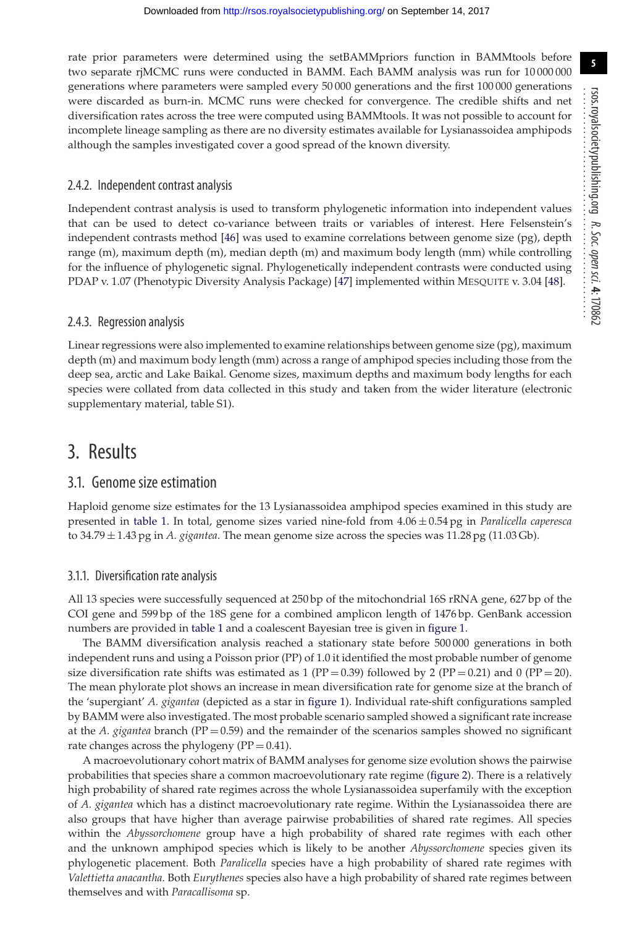rate prior parameters were determined using the setBAMMpriors function in BAMMtools before two separate rjMCMC runs were conducted in BAMM. Each BAMM analysis was run for 10 000 000 generations where parameters were sampled every 50 000 generations and the first 100 000 generations were discarded as burn-in. MCMC runs were checked for convergence. The credible shifts and net diversification rates across the tree were computed using BAMMtools. It was not possible to account for incomplete lineage sampling as there are no diversity estimates available for Lysianassoidea amphipods although the samples investigated cover a good spread of the known diversity.

#### 2.4.2. Independent contrast analysis

Independent contrast analysis is used to transform phylogenetic information into independent values that can be used to detect co-variance between traits or variables of interest. Here Felsenstein's independent contrasts method [\[46\]](#page-9-32) was used to examine correlations between genome size (pg), depth range (m), maximum depth (m), median depth (m) and maximum body length (mm) while controlling for the influence of phylogenetic signal. Phylogenetically independent contrasts were conducted using PDAP v. 1.07 (Phenotypic Diversity Analysis Package) [\[47\]](#page-9-33) implemented within MESQUITE v. 3.04 [\[48\]](#page-9-34).

#### 2.4.3. Regression analysis

Linear regressions were also implemented to examine relationships between genome size (pg), maximum depth (m) and maximum body length (mm) across a range of amphipod species including those from the deep sea, arctic and Lake Baikal. Genome sizes, maximum depths and maximum body lengths for each species were collated from data collected in this study and taken from the wider literature (electronic supplementary material, table S1).

### 3. Results

#### 3.1. Genome size estimation

Haploid genome size estimates for the 13 Lysianassoidea amphipod species examined in this study are presented in [table 1.](#page-4-0) In total, genome sizes varied nine-fold from 4.06 ± 0.54 pg in *Paralicella caperesca* to 34.79 ± 1.43 pg in *A. gigantea*. The mean genome size across the species was 11.28 pg (11.03 Gb).

#### 3.1.1. Diversification rate analysis

All 13 species were successfully sequenced at 250 bp of the mitochondrial 16S rRNA gene, 627 bp of the COI gene and 599 bp of the 18S gene for a combined amplicon length of 1476 bp. GenBank accession numbers are provided in [table 1](#page-4-0) and a coalescent Bayesian tree is given in [figure 1.](#page-6-0)

The BAMM diversification analysis reached a stationary state before 500 000 generations in both independent runs and using a Poisson prior (PP) of 1.0 it identified the most probable number of genome size diversification rate shifts was estimated as 1 (PP = 0.39) followed by 2 (PP = 0.21) and 0 (PP = 20). The mean phylorate plot shows an increase in mean diversification rate for genome size at the branch of the 'supergiant' *A. gigantea* (depicted as a star in [figure 1\)](#page-6-0). Individual rate-shift configurations sampled by BAMM were also investigated. The most probable scenario sampled showed a significant rate increase at the *A. gigantea* branch (PP = 0.59) and the remainder of the scenarios samples showed no significant rate changes across the phylogeny ( $PP = 0.41$ ).

A macroevolutionary cohort matrix of BAMM analyses for genome size evolution shows the pairwise probabilities that species share a common macroevolutionary rate regime [\(figure 2\)](#page-6-1). There is a relatively high probability of shared rate regimes across the whole Lysianassoidea superfamily with the exception of *A. gigantea* which has a distinct macroevolutionary rate regime. Within the Lysianassoidea there are also groups that have higher than average pairwise probabilities of shared rate regimes. All species within the *Abyssorchomene* group have a high probability of shared rate regimes with each other and the unknown amphipod species which is likely to be another *Abyssorchomene* species given its phylogenetic placement. Both *Paralicella* species have a high probability of shared rate regimes with *Valettietta anacantha*. Both *Eurythenes* species also have a high probability of shared rate regimes between themselves and with *Paracallisoma* sp.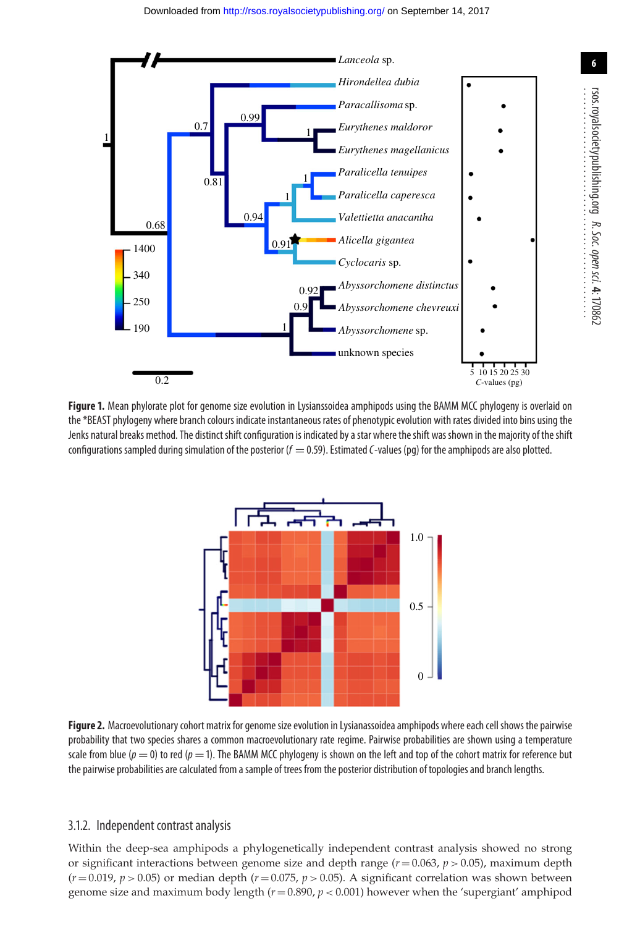<span id="page-6-0"></span>

<span id="page-6-1"></span>**Figure 1.** Mean phylorate plot for genome size evolution in Lysianssoidea amphipods using the BAMM MCC phylogeny is overlaid on the \*BEAST phylogeny where branch colours indicate instantaneous rates of phenotypic evolution with rates divided into bins using the Jenks natural breaks method. The distinct shift configuration is indicated by a star where the shift was shown in the majority of the shift configurations sampled during simulation of the posterior ( $f = 0.59$ ). Estimated C-values (pq) for the amphipods are also plotted.



**Figure 2.** Macroevolutionary cohort matrix for genome size evolution in Lysianassoidea amphipods where each cell shows the pairwise probability that two species shares a common macroevolutionary rate regime. Pairwise probabilities are shown using a temperature scale from blue ( $p = 0$ ) to red ( $p = 1$ ). The BAMM MCC phylogeny is shown on the left and top of the cohort matrix for reference but the pairwise probabilities are calculated from a sample of trees from the posterior distribution of topologies and branch lengths.

#### 3.1.2. Independent contrast analysis

Within the deep-sea amphipods a phylogenetically independent contrast analysis showed no strong or significant interactions between genome size and depth range  $(r = 0.063, p > 0.05)$ , maximum depth  $(r=0.019, p>0.05)$  or median depth  $(r=0.075, p>0.05)$ . A significant correlation was shown between genome size and maximum body length (*r* = 0.890, *p <* 0.001) however when the 'supergiant' amphipod rsos.royalsocietypublishing.org

*R. Soc.*

 *open*

 *sci.* **4**: 170862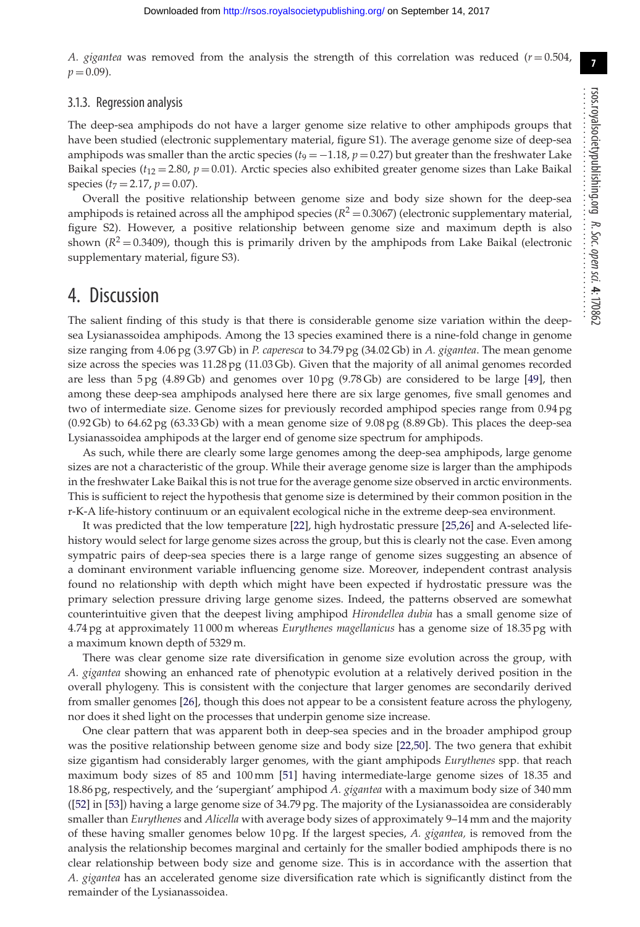**7**

*A. gigantea* was removed from the analysis the strength of this correlation was reduced  $(r = 0.504,$  $p = 0.09$ ).

#### 3.1.3. Regression analysis

The deep-sea amphipods do not have a larger genome size relative to other amphipods groups that have been studied (electronic supplementary material, figure S1). The average genome size of deep-sea amphipods was smaller than the arctic species ( $t_9 = -1.18$ ,  $p = 0.27$ ) but greater than the freshwater Lake Baikal species ( $t_{12} = 2.80$ ,  $p = 0.01$ ). Arctic species also exhibited greater genome sizes than Lake Baikal species  $(t_7 = 2.17, p = 0.07)$ .

Overall the positive relationship between genome size and body size shown for the deep-sea amphipods is retained across all the amphipod species  $(R^2 = 0.3067)$  (electronic supplementary material, figure S2). However, a positive relationship between genome size and maximum depth is also shown  $(R^2 = 0.3409)$ , though this is primarily driven by the amphipods from Lake Baikal (electronic supplementary material, figure S3).

### 4. Discussion

The salient finding of this study is that there is considerable genome size variation within the deepsea Lysianassoidea amphipods. Among the 13 species examined there is a nine-fold change in genome size ranging from 4.06 pg (3.97 Gb) in *P. caperesca* to 34.79 pg (34.02 Gb) in *A. gigantea*. The mean genome size across the species was 11.28 pg (11.03 Gb). Given that the majority of all animal genomes recorded are less than 5 pg (4.89 Gb) and genomes over 10 pg (9.78 Gb) are considered to be large [\[49\]](#page-9-35), then among these deep-sea amphipods analysed here there are six large genomes, five small genomes and two of intermediate size. Genome sizes for previously recorded amphipod species range from 0.94 pg (0.92 Gb) to 64.62 pg (63.33 Gb) with a mean genome size of 9.08 pg (8.89 Gb). This places the deep-sea Lysianassoidea amphipods at the larger end of genome size spectrum for amphipods.

As such, while there are clearly some large genomes among the deep-sea amphipods, large genome sizes are not a characteristic of the group. While their average genome size is larger than the amphipods in the freshwater Lake Baikal this is not true for the average genome size observed in arctic environments. This is sufficient to reject the hypothesis that genome size is determined by their common position in the r-K-A life-history continuum or an equivalent ecological niche in the extreme deep-sea environment.

It was predicted that the low temperature [\[22\]](#page-9-9), high hydrostatic pressure [\[25](#page-9-12)[,26\]](#page-9-13) and A-selected lifehistory would select for large genome sizes across the group, but this is clearly not the case. Even among sympatric pairs of deep-sea species there is a large range of genome sizes suggesting an absence of a dominant environment variable influencing genome size. Moreover, independent contrast analysis found no relationship with depth which might have been expected if hydrostatic pressure was the primary selection pressure driving large genome sizes. Indeed, the patterns observed are somewhat counterintuitive given that the deepest living amphipod *Hirondellea dubia* has a small genome size of 4.74 pg at approximately 11 000 m whereas *Eurythenes magellanicus* has a genome size of 18.35 pg with a maximum known depth of 5329 m.

There was clear genome size rate diversification in genome size evolution across the group, with *A. gigantea* showing an enhanced rate of phenotypic evolution at a relatively derived position in the overall phylogeny. This is consistent with the conjecture that larger genomes are secondarily derived from smaller genomes [\[26\]](#page-9-13), though this does not appear to be a consistent feature across the phylogeny, nor does it shed light on the processes that underpin genome size increase.

One clear pattern that was apparent both in deep-sea species and in the broader amphipod group was the positive relationship between genome size and body size [\[22,](#page-9-9)[50\]](#page-9-36). The two genera that exhibit size gigantism had considerably larger genomes, with the giant amphipods *Eurythenes* spp. that reach maximum body sizes of 85 and 100 mm [\[51\]](#page-9-37) having intermediate-large genome sizes of 18.35 and 18.86 pg, respectively, and the 'supergiant' amphipod *A. gigantea* with a maximum body size of 340 mm ([\[52\]](#page-9-38) in [\[53\]](#page-9-39)) having a large genome size of 34.79 pg. The majority of the Lysianassoidea are considerably smaller than *Eurythenes* and *Alicella* with average body sizes of approximately 9–14 mm and the majority of these having smaller genomes below 10 pg. If the largest species, *A. gigantea,* is removed from the analysis the relationship becomes marginal and certainly for the smaller bodied amphipods there is no clear relationship between body size and genome size. This is in accordance with the assertion that *A. gigantea* has an accelerated genome size diversification rate which is significantly distinct from the remainder of the Lysianassoidea.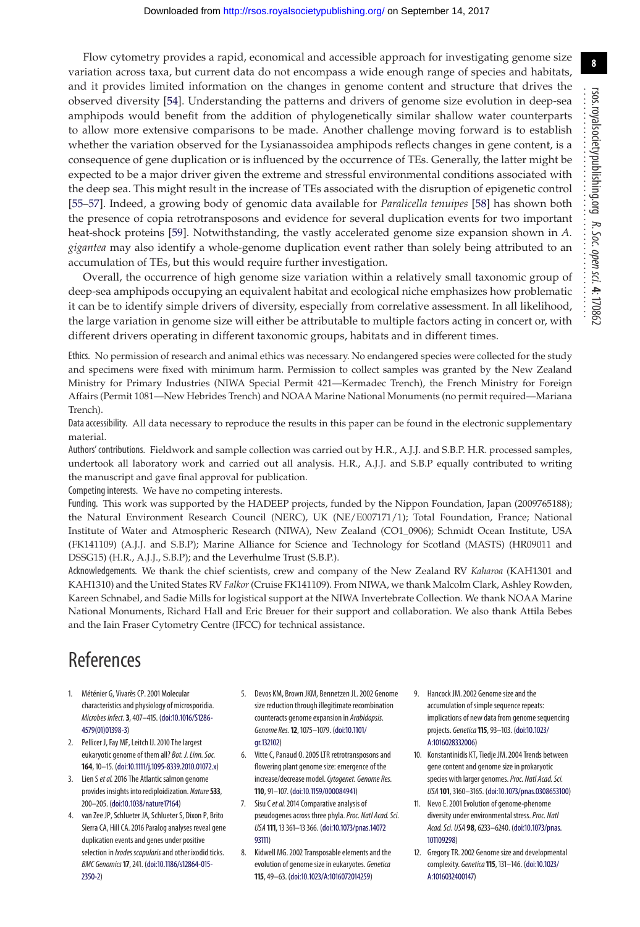Flow cytometry provides a rapid, economical and accessible approach for investigating genome size variation across taxa, but current data do not encompass a wide enough range of species and habitats, and it provides limited information on the changes in genome content and structure that drives the observed diversity [\[54\]](#page-9-40). Understanding the patterns and drivers of genome size evolution in deep-sea amphipods would benefit from the addition of phylogenetically similar shallow water counterparts to allow more extensive comparisons to be made. Another challenge moving forward is to establish whether the variation observed for the Lysianassoidea amphipods reflects changes in gene content, is a consequence of gene duplication or is influenced by the occurrence of TEs. Generally, the latter might be expected to be a major driver given the extreme and stressful environmental conditions associated with the deep sea. This might result in the increase of TEs associated with the disruption of epigenetic control [\[55](#page-9-41)[–57\]](#page-9-42). Indeed, a growing body of genomic data available for *Paralicella tenuipes* [\[58\]](#page-9-43) has shown both the presence of copia retrotransposons and evidence for several duplication events for two important heat-shock proteins [\[59\]](#page-9-44). Notwithstanding, the vastly accelerated genome size expansion shown in *A. gigantea* may also identify a whole-genome duplication event rather than solely being attributed to an accumulation of TEs, but this would require further investigation.

Overall, the occurrence of high genome size variation within a relatively small taxonomic group of deep-sea amphipods occupying an equivalent habitat and ecological niche emphasizes how problematic it can be to identify simple drivers of diversity, especially from correlative assessment. In all likelihood, the large variation in genome size will either be attributable to multiple factors acting in concert or, with different drivers operating in different taxonomic groups, habitats and in different times.

Ethics. No permission of research and animal ethics was necessary. No endangered species were collected for the study and specimens were fixed with minimum harm. Permission to collect samples was granted by the New Zealand Ministry for Primary Industries (NIWA Special Permit 421—Kermadec Trench), the French Ministry for Foreign Affairs (Permit 1081—New Hebrides Trench) and NOAA Marine National Monuments (no permit required—Mariana Trench).

Data accessibility. All data necessary to reproduce the results in this paper can be found in the electronic supplementary material.

Authors' contributions. Fieldwork and sample collection was carried out by H.R., A.J.J. and S.B.P. H.R. processed samples, undertook all laboratory work and carried out all analysis. H.R., A.J.J. and S.B.P equally contributed to writing the manuscript and gave final approval for publication.

Competing interests. We have no competing interests.

Funding. This work was supported by the HADEEP projects, funded by the Nippon Foundation, Japan (2009765188); the Natural Environment Research Council (NERC), UK (NE/E007171/1); Total Foundation, France; National Institute of Water and Atmospheric Research (NIWA), New Zealand (CO1\_0906); Schmidt Ocean Institute, USA (FK141109) (A.J.J. and S.B.P); Marine Alliance for Science and Technology for Scotland (MASTS) (HR09011 and DSSG15) (H.R., A.J.J., S.B.P); and the Leverhulme Trust (S.B.P.).

Acknowledgements. We thank the chief scientists, crew and company of the New Zealand RV *Kaharoa* (KAH1301 and KAH1310) and the United States RV *Falkor* (Cruise FK141109). From NIWA, we thank Malcolm Clark, Ashley Rowden, Kareen Schnabel, and Sadie Mills for logistical support at the NIWA Invertebrate Collection. We thank NOAA Marine National Monuments, Richard Hall and Eric Breuer for their support and collaboration. We also thank Attila Bebes and the Iain Fraser Cytometry Centre (IFCC) for technical assistance.

# References

- <span id="page-8-0"></span>1. Méténier G, Vivarès CP. 2001 Molecular characteristics and physiology of microsporidia. *Microbes Infect.***3**, 407–415. [\(doi:10.1016/S1286-](http://dx.doi.org/10.1016/S1286-4579(01)01398-3) [4579\(01\)01398-3\)](http://dx.doi.org/10.1016/S1286-4579(01)01398-3)
- <span id="page-8-1"></span>2. Pellicer J, Fay MF, Leitch IJ. 2010 The largest eukaryotic genome of them all? *Bot. J. Linn. Soc.* **164**, 10–15. [\(doi:10.1111/j.1095-8339.2010.01072.x\)](http://dx.doi.org/10.1111/j.1095-8339.2010.01072.x)
- <span id="page-8-2"></span>3. Lien S*et al.*2016 The Atlantic salmon genome provides insights into rediploidization. *Nature***533**, 200–205. [\(doi:10.1038/nature17164\)](http://dx.doi.org/10.1038/nature17164)
- <span id="page-8-3"></span>4. van Zee JP, Schlueter JA, Schlueter S, Dixon P, Brito Sierra CA, Hill CA. 2016 Paralog analyses reveal gene duplication events and genes under positive selection in *Ixodes scapularis*and other ixodid ticks. *BMC Genomics***17**, 241. [\(doi:10.1186/s12864-015-](http://dx.doi.org/10.1186/s12864-015-2350-2) [2350-2\)](http://dx.doi.org/10.1186/s12864-015-2350-2)
- <span id="page-8-4"></span>5. Devos KM, Brown JKM, Bennetzen JL. 2002 Genome size reduction through illegitimate recombination counteracts genome expansion in *Arabidopsis*. *Genome Res.***12**, 1075–1079. [\(doi:10.1101/](http://dx.doi.org/10.1101/gr.132102) [gr.132102\)](http://dx.doi.org/10.1101/gr.132102)
- <span id="page-8-5"></span>6. Vitte C, Panaud O. 2005 LTR retrotransposons and flowering plant genome size: emergence of the increase/decrease model.*Cytogenet. Genome Res.* **110**, 91–107. [\(doi:10.1159/000084941\)](http://dx.doi.org/10.1159/000084941)
- <span id="page-8-6"></span>7. Sisu C*et al.*2014 Comparative analysis of pseudogenes across three phyla.*Proc. Natl Acad. Sci. USA* **111**, 13 361–13 366. [\(doi:10.1073/pnas.14072](http://dx.doi.org/10.1073/pnas.1407293111) [93111\)](http://dx.doi.org/10.1073/pnas.1407293111)
- <span id="page-8-7"></span>8. Kidwell MG. 2002 Transposable elements and the evolution of genome size in eukaryotes. *Genetica* **115**, 49–63. [\(doi:10.1023/A:1016072014259\)](http://dx.doi.org/10.1023/A:1016072014259)
- <span id="page-8-8"></span>9. Hancock JM. 2002 Genome size and the accumulation of simple sequence repeats: implications of new data from genome sequencing projects. *Genetica***115**, 93–103. [\(doi:10.1023/](http://dx.doi.org/10.1023/A:1016028332006) [A:1016028332006\)](http://dx.doi.org/10.1023/A:1016028332006)
- <span id="page-8-9"></span>10. Konstantinidis KT, Tiedje JM. 2004 Trends between gene content and genome size in prokaryotic species with larger genomes.*Proc. Natl Acad. Sci. USA* **101**, 3160–3165. [\(doi:10.1073/pnas.0308653100\)](http://dx.doi.org/10.1073/pnas.0308653100)
- <span id="page-8-10"></span>11. Nevo E. 2001 Evolution of genome-phenome diversity under environmental stress.*Proc. Natl Acad. Sci. USA* **98**, 6233–6240. [\(doi:10.1073/pnas.](http://dx.doi.org/10.1073/pnas.101109298) [101109298\)](http://dx.doi.org/10.1073/pnas.101109298)
- <span id="page-8-11"></span>12. Gregory TR. 2002 Genome size and developmental complexity. *Genetica***115**, 131–146. [\(doi:10.1023/](http://dx.doi.org/10.1023/A:1016032400147) [A:1016032400147\)](http://dx.doi.org/10.1023/A:1016032400147)